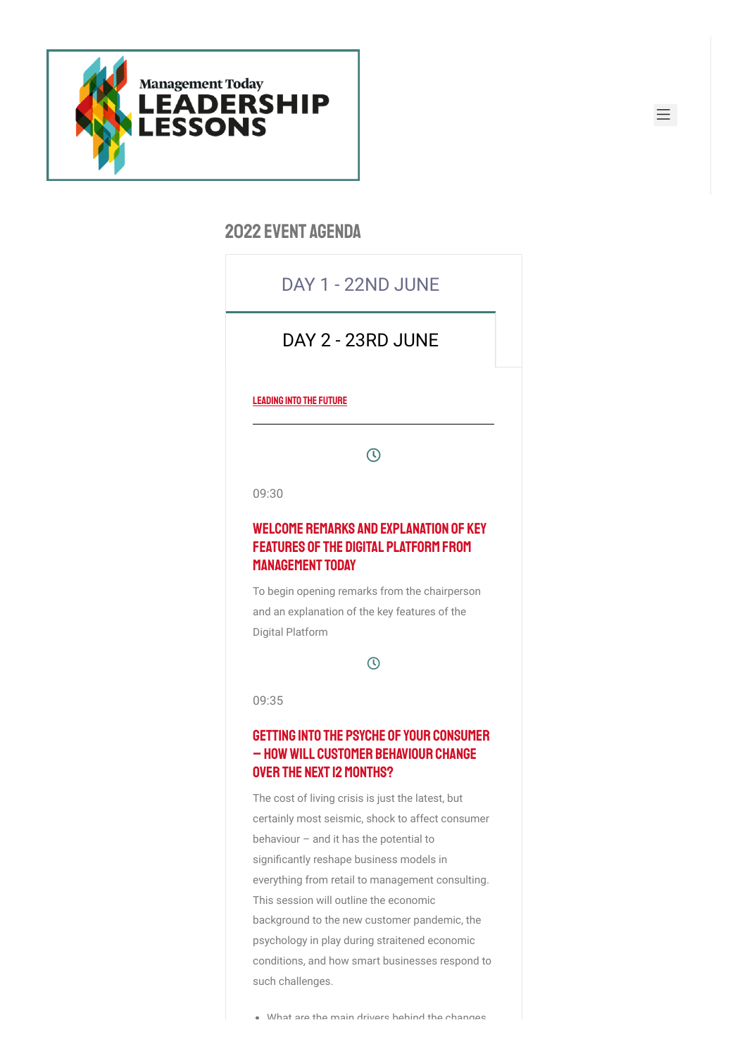

### 2022 event agenda

# DAY 1 - 22ND JUNE

 $\vdots$ 

三

## DAY 2 - 23RD JUNE

#### LEADING INTO THE FUTURE

 $\mathcal{D}$ 

09:30

### Welcome Remarks and Explanation of Key Features of the Digital Platform from Management Today

To begin opening remarks from the chairperson and an explanation of the key features of the Digital Platform

 $\overline{O}$ 

09:35

### Getting into the psyche of your consumer – howwill customer behaviour change over the next 12 months?

The cost of living crisis is just the latest, but certainly most seismic, shock to affect consumer behaviour – and it has the potential to significantly reshape business models in everything from retail to management consulting. This session will outline the economic background to the new customer pandemic, the psychology in play during straitened economic conditions, and how smart businesses respond to such challenges.

. What are the main drivers hehind the channes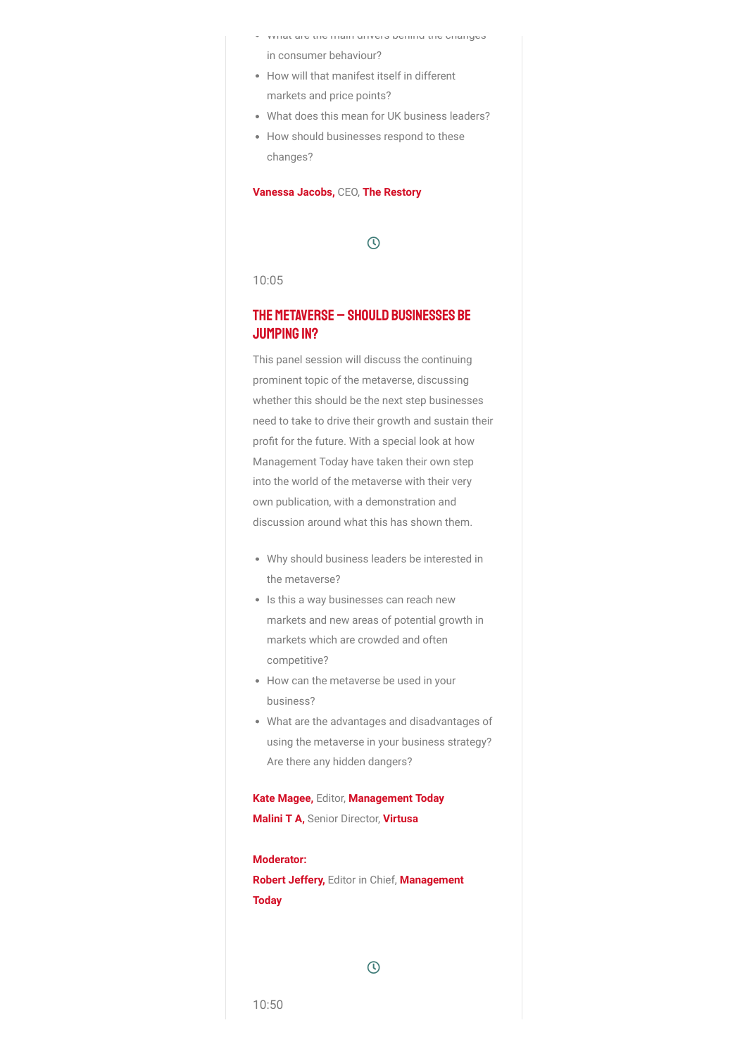- What are the main drivers behind the changes in consumer behaviour?
- How will that manifest itself in different markets and price points?
- What does this mean for UK business leaders?
- How should businesses respond to these changes?

#### **Vanessa Jacobs,** CEO, **The Restory**

### $\odot$

10:05

### The metaverse – should businesses be JUMPING IN?

This panel session will discuss the continuing prominent topic of the metaverse, discussing whether this should be the next step businesses need to take to drive their growth and sustain their profit for the future. With a special look at how Management Today have taken their own step into the world of the metaverse with their very own publication, with a demonstration and discussion around what this has shown them.

- Why should business leaders be interested in the metaverse?
- Is this a way businesses can reach new markets and new areas of potential growth in markets which are crowded and often competitive?
- How can the metaverse be used in your business?
- What are the advantages and disadvantages of using the metaverse in your business strategy? Are there any hidden dangers?

**Kate Magee,** Editor, **Management Today Malini T A,** Senior Director, **Virtusa**

### **Moderator:**

**Robert Jeffery,** Editor in Chief, **Management Today**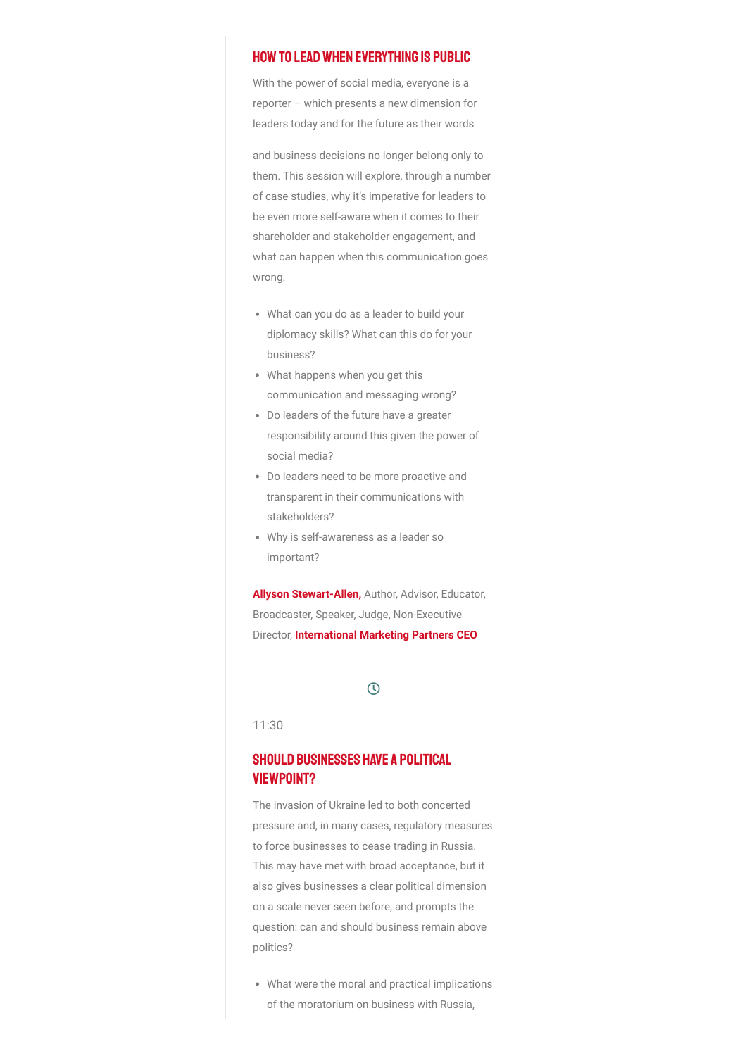#### Howto leadwhen everything is public

With the power of social media, everyone is a reporter – which presents a new dimension for leaders today and for the future as their words

and business decisions no longer belong only to them. This session will explore, through a number of case studies, why it's imperative for leaders to be even more self-aware when it comes to their shareholder and stakeholder engagement, and what can happen when this communication goes wrong.

- What can you do as a leader to build your diplomacy skills? What can this do for your business?
- What happens when you get this communication and messaging wrong?
- Do leaders of the future have a greater responsibility around this given the power of social media?
- Do leaders need to be more proactive and transparent in their communications with stakeholders?
- Why is self-awareness as a leader so important?

**Allyson Stewart-Allen,** Author, Advisor, Educator, Broadcaster, Speaker, Judge, Non-Executive Director, **International Marketing Partners CEO**

### $\odot$

11:30

### SHOULD BUSINESSES HAVE A POLITICAL viewpoint?

The invasion of Ukraine led to both concerted pressure and, in many cases, regulatory measures to force businesses to cease trading in Russia. This may have met with broad acceptance, but it also gives businesses a clear political dimension on a scale never seen before, and prompts the question: can and should business remain above politics?

What were the moral and practical implications of the moratorium on business with Russia,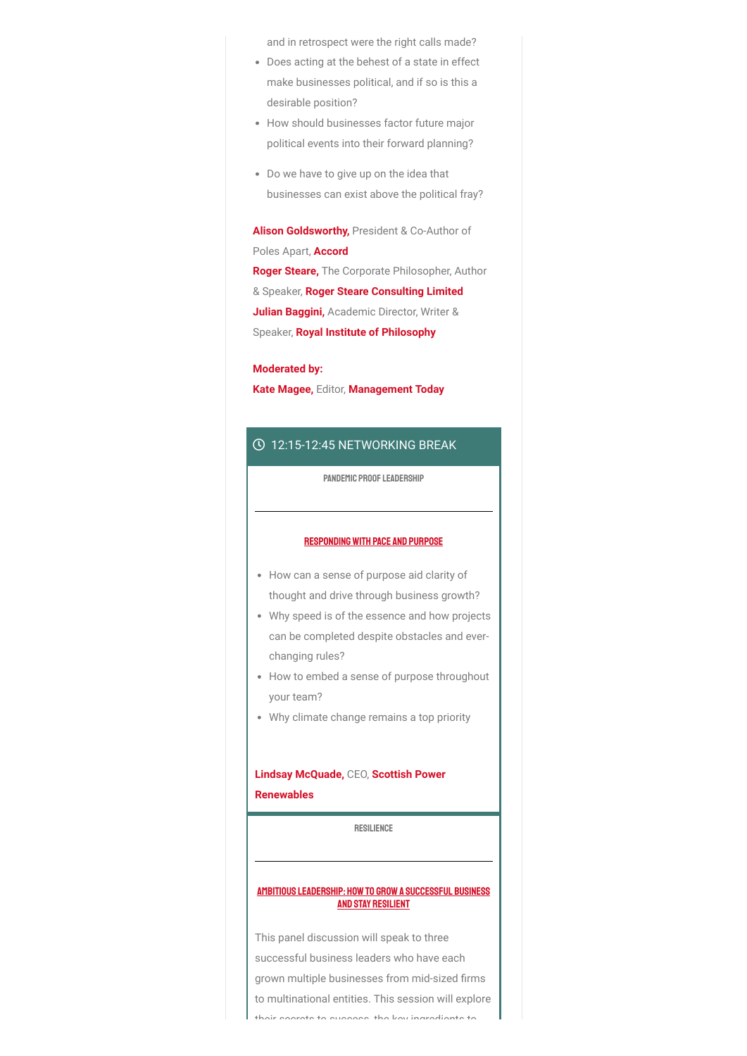and in retrospect were the right calls made?

- Does acting at the behest of a state in effect make businesses political, and if so is this a desirable position?
- How should businesses factor future major political events into their forward planning?
- Do we have to give up on the idea that businesses can exist above the political fray?

**Alison Goldsworthy,** President & Co-Author of Poles Apart, **Accord Roger Steare,** The Corporate Philosopher, Author & Speaker, **Roger Steare Consulting Limited Julian Baggini,** Academic Director, Writer & Speaker, **Royal Institute of Philosophy**

#### **Moderated by:**

**Kate Magee,** Editor, **Management Today**

#### 12:15-12:45 NETWORKING BREAK

PANDEMIC PROOF LEADERSHIP

#### Respondingwith Pace and Purpose

- How can a sense of purpose aid clarity of thought and drive through business growth?
- Why speed is of the essence and how projects can be completed despite obstacles and everchanging rules?
- How to embed a sense of purpose throughout your team?
- Why climate change remains a top priority

### **Lindsay McQuade,** CEO, **Scottish Power Renewables**

RESILIENCE

#### AMBITIOUS LEADERSHIP: HOW TO GROW A SUCCESSFUL BUSINESS and Stay Resilient

This panel discussion will speak to three successful business leaders who have each grown multiple businesses from mid-sized firms to multinational entities. This session will explore their secrets to success the key ingredients to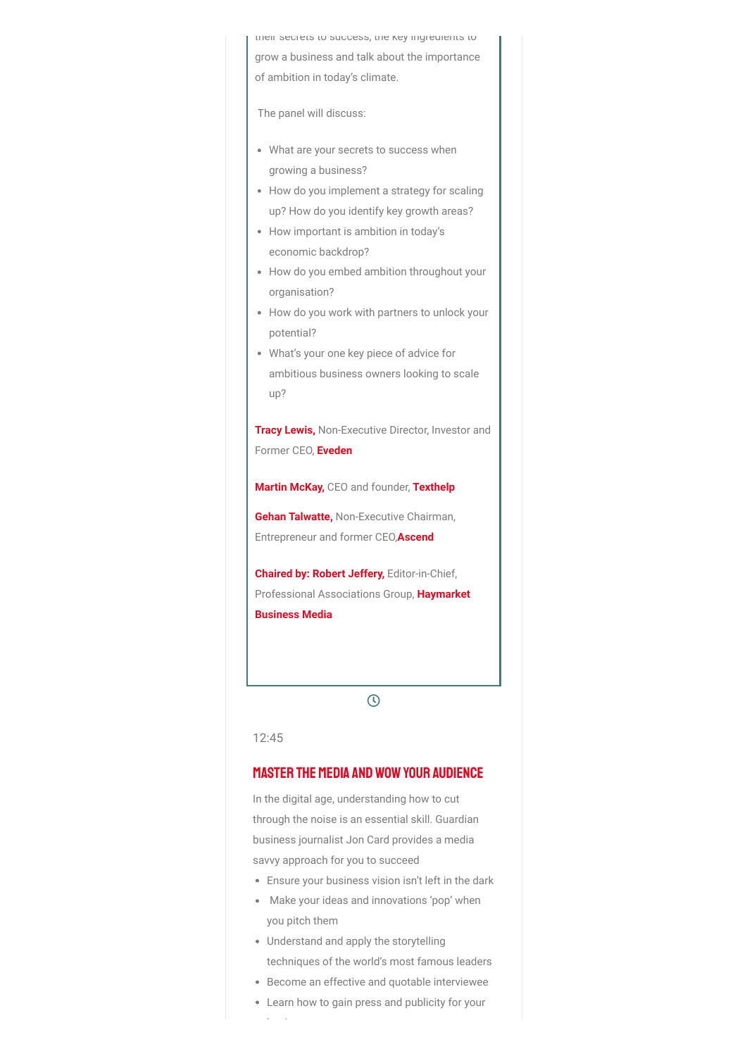their secrets to success, the key ingredients to grow a business and talk about the importance of ambition in today's climate.

The panel will discuss:

- What are your secrets to success when growing a business?
- How do you implement a strategy for scaling up? How do you identify key growth areas?
- How important is ambition in today's economic backdrop?
- How do you embed ambition throughout your organisation?
- How do you work with partners to unlock your potential?
- What's your one key piece of advice for ambitious business owners looking to scale up?

**Tracy Lewis,** Non-Executive Director, Investor and Former CEO, **Eveden**

**Martin McKay,** CEO and founder, **Texthelp**

**Gehan Talwatte,** Non-Executive Chairman, Entrepreneur and former CEO,**Ascend**

**Chaired by: Robert Jeffery,** Editor-in-Chief, Professional Associations Group, **Haymarket Business Media**

 $\odot$ 

12:45

### **MASTER THE MEDIA AND WOW YOUR AUDIENCE**

In the digital age, understanding how to cut through the noise is an essential skill. Guardian business journalist Jon Card provides a media savvy approach for you to succeed

- Ensure your business vision isn't left in the dark
- Make your ideas and innovations 'pop' when you pitch them
- Understand and apply the storytelling techniques of the world's most famous leaders
- Become an effective and quotable interviewee
- Learn how to gain press and publicity for your